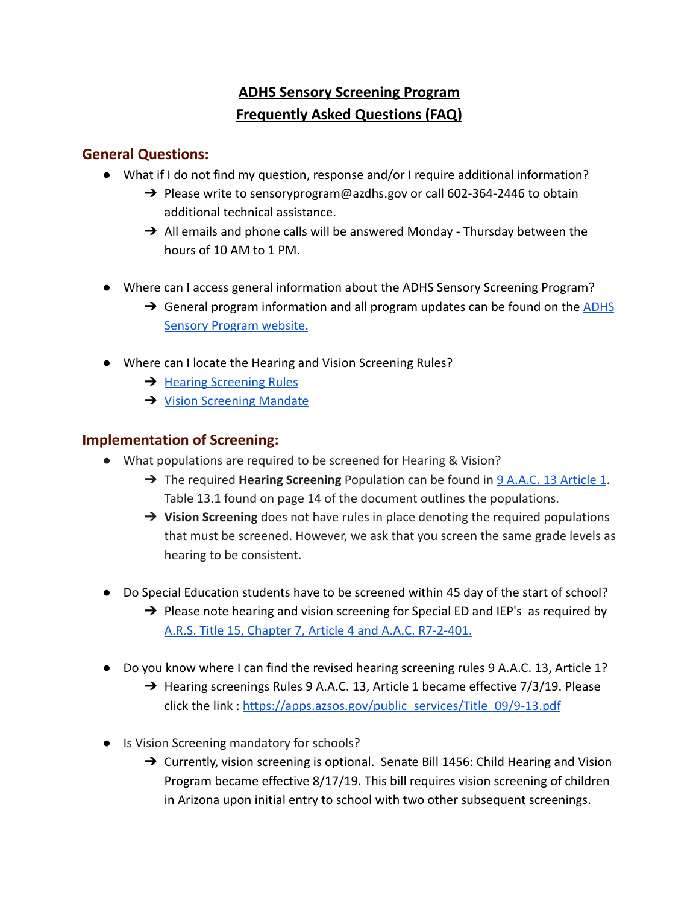# **ADHS Sensory Screening Program Frequently Asked Questions (FAQ)**

## **General Questions:**

- What if I do not find my question, response and/or I require additional information?
	- → Please write to [sensoryprogram@azdhs.gov](mailto:sensoryprogram@azdhs.gov) or call 602-364-2446 to obtain additional technical assistance.
	- $\rightarrow$  All emails and phone calls will be answered Monday Thursday between the hours of 10 AM to 1 PM.
- Where can I access general information about the ADHS Sensory Screening Program?
	- $\rightarrow$  General program information and all program updates can be found on the [ADHS](https://www.azdhs.gov/prevention/womens-childrens-health/ocshcn/index.php#hearing-screening) [Sensory Program website.](https://www.azdhs.gov/prevention/womens-childrens-health/ocshcn/index.php#hearing-screening)
- Where can I locate the Hearing and Vision Screening Rules?
	- **→** [Hearing Screening Rules](https://apps.azsos.gov/public_services/Title_09/9-13.pdf)
	- **→ [Vision Screening Mandate](https://www.azleg.gov/legtext/54leg/1r/bills/sb1456s.pdf)**

#### **Implementation of Screening:**

- What populations are required to be screened for Hearing & Vision?
	- ➔ The required **Hearing Screening** Population can be found in [9 A.A.C. 13 Article 1](https://apps.azsos.gov/public_services/Title_09/9-13.pdf). Table 13.1 found on page 14 of the document outlines the populations.
	- ➔ **Vision Screening** does not have rules in place denoting the required populations that must be screened. However, we ask that you screen the same grade levels as hearing to be consistent.
- Do Special Education students have to be screened within 45 day of the start of school?
	- $\rightarrow$  Please note hearing and vision screening for Special ED and IEP's as required by [A.R.S. Title 15, Chapter 7, Article 4 and A.A.C. R7-2-401.](https://policy.azsba.org/asba/DocViewer.jsp?docid=31&z2collection=title7)
- Do you know where I can find the revised hearing screening rules 9 A.A.C. 13, Article 1?
	- $\rightarrow$  Hearing screenings Rules 9 A.A.C. 13, Article 1 became effective 7/3/19. Please click the link : [https://apps.azsos.gov/public\\_services/Title\\_09/9-13.pdf](https://apps.azsos.gov/public_services/Title_09/9-13.pdf)
- Is Vision Screening mandatory for schools?
	- $\rightarrow$  Currently, vision screening is optional. Senate Bill 1456: Child Hearing and Vision Program became effective 8/17/19. This bill requires vision screening of children in Arizona upon initial entry to school with two other subsequent screenings.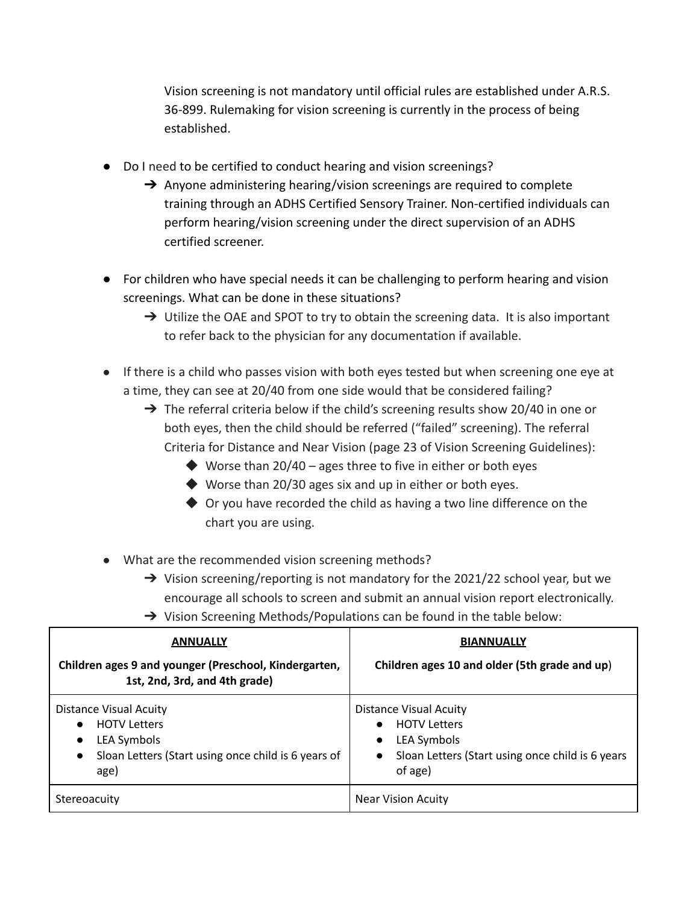Vision screening is not mandatory until official rules are established under A.R.S. 36-899. Rulemaking for vision screening is currently in the process of being established.

- Do I need to be certified to conduct hearing and vision screenings?
	- → Anyone administering hearing/vision screenings are required to complete training through an ADHS Certified Sensory Trainer. Non-certified individuals can perform hearing/vision screening under the direct supervision of an ADHS certified screener.
- For children who have special needs it can be challenging to perform hearing and vision screenings. What can be done in these situations?
	- $\rightarrow$  Utilize the OAE and SPOT to try to obtain the screening data. It is also important to refer back to the physician for any documentation if available.
- If there is a child who passes vision with both eyes tested but when screening one eye at a time, they can see at 20/40 from one side would that be considered failing?
	- $\rightarrow$  The referral criteria below if the child's screening results show 20/40 in one or both eyes, then the child should be referred ("failed" screening). The referral Criteria for Distance and Near Vision (page 23 of Vision Screening Guidelines):
		- $\blacklozenge$  Worse than 20/40 ages three to five in either or both eyes
		- ◆ Worse than 20/30 ages six and up in either or both eyes.
		- $\blacklozenge$  Or you have recorded the child as having a two line difference on the chart you are using.
- What are the recommended vision screening methods?
	- $\rightarrow$  Vision screening/reporting is not mandatory for the 2021/22 school year, but we encourage all schools to screen and submit an annual vision report electronically.
	- → Vision Screening Methods/Populations can be found in the table below:

| <b>ANNUALLY</b>                                                                                                                                                    | <b>BIANNUALLY</b>                                                                                                                                     |
|--------------------------------------------------------------------------------------------------------------------------------------------------------------------|-------------------------------------------------------------------------------------------------------------------------------------------------------|
| Children ages 9 and younger (Preschool, Kindergarten,<br>1st, 2nd, 3rd, and 4th grade)                                                                             | Children ages 10 and older (5th grade and up)                                                                                                         |
| Distance Visual Acuity<br><b>HOTV Letters</b><br>$\bullet$<br>LEA Symbols<br>$\bullet$<br>Sloan Letters (Start using once child is 6 years of<br>$\bullet$<br>age) | Distance Visual Acuity<br><b>HOTV Letters</b><br>LEA Symbols<br>$\bullet$<br>Sloan Letters (Start using once child is 6 years<br>$\bullet$<br>of age) |
| Stereoacuity                                                                                                                                                       | <b>Near Vision Acuity</b>                                                                                                                             |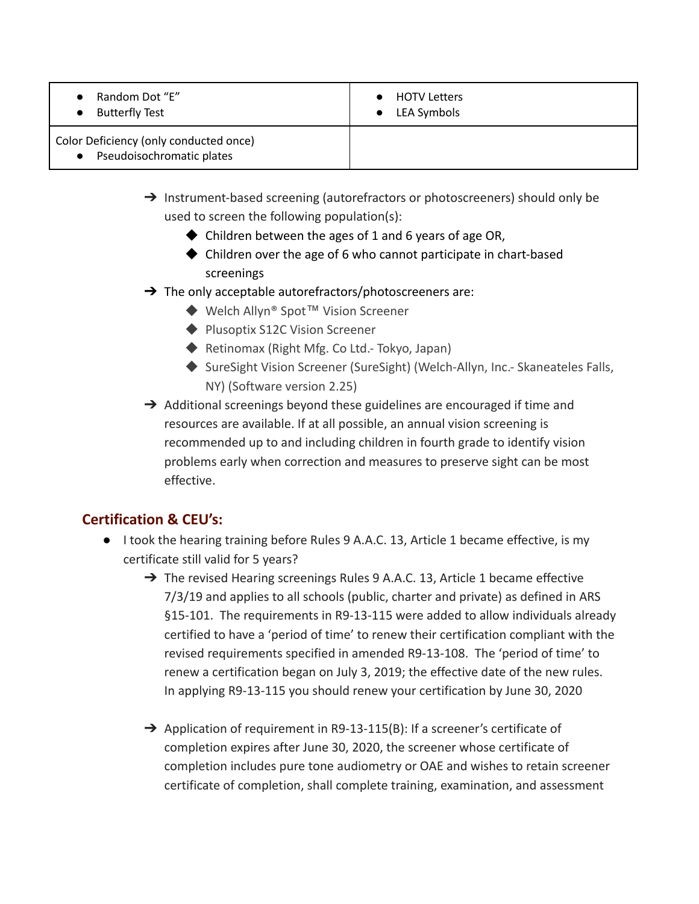| Random Dot "E" |  |
|----------------|--|
|                |  |

● Butterfly Test

● HOTV Letters

● LEA Symbols

Color Deficiency (only conducted once)

#### Pseudoisochromatic plates

- ➔ Instrument-based screening (autorefractors or photoscreeners) should only be used to screen the following population(s):
	- $\blacklozenge$  Children between the ages of 1 and 6 years of age OR,
	- ◆ Children over the age of 6 who cannot participate in chart-based screenings
- $\rightarrow$  The only acceptable autorefractors/photoscreeners are:
	- ◆ Welch Allyn<sup>®</sup> Spot<sup>™</sup> Vision Screener
	- ◆ Plusoptix S12C Vision Screener
	- ◆ Retinomax (Right Mfg. Co Ltd.- Tokyo, Japan)
	- ◆ SureSight Vision Screener (SureSight) (Welch-Allyn, Inc.- Skaneateles Falls, NY) (Software version 2.25)
- $\rightarrow$  Additional screenings beyond these guidelines are encouraged if time and resources are available. If at all possible, an annual vision screening is recommended up to and including children in fourth grade to identify vision problems early when correction and measures to preserve sight can be most effective.

# **Certification & CEU's:**

- I took the hearing training before Rules 9 A.A.C. 13, Article 1 became effective, is my certificate still valid for 5 years?
	- → The revised Hearing screenings Rules 9 A.A.C. 13, Article 1 became effective 7/3/19 and applies to all schools (public, charter and private) as defined in ARS §15-101. The requirements in R9-13-115 were added to allow individuals already certified to have a 'period of time' to renew their certification compliant with the revised requirements specified in amended R9-13-108. The 'period of time' to renew a certification began on July 3, 2019; the effective date of the new rules. In applying R9-13-115 you should renew your certification by June 30, 2020
	- → Application of requirement in R9-13-115(B): If a screener's certificate of completion expires after June 30, 2020, the screener whose certificate of completion includes pure tone audiometry or OAE and wishes to retain screener certificate of completion, shall complete training, examination, and assessment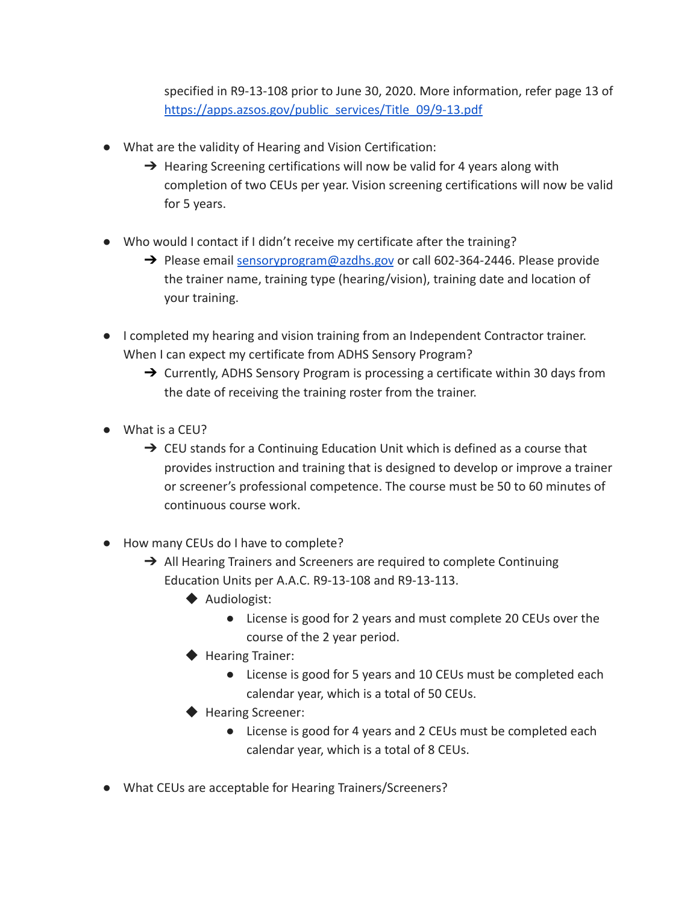specified in R9-13-108 prior to June 30, 2020. More information, refer page 13 of [https://apps.azsos.gov/public\\_services/Title\\_09/9-13.pdf](https://apps.azsos.gov/public_services/Title_09/9-13.pdf)

- What are the validity of Hearing and Vision Certification:
	- $\rightarrow$  Hearing Screening certifications will now be valid for 4 years along with completion of two CEUs per year. Vision screening certifications will now be valid for 5 years.
- Who would I contact if I didn't receive my certificate after the training?
	- $\rightarrow$  Please email [sensoryprogram@azdhs.gov](mailto:sensoryprogram@azdhs.gov) or call 602-364-2446. Please provide the trainer name, training type (hearing/vision), training date and location of your training.
- I completed my hearing and vision training from an Independent Contractor trainer. When I can expect my certificate from ADHS Sensory Program?
	- $\rightarrow$  Currently, ADHS Sensory Program is processing a certificate within 30 days from the date of receiving the training roster from the trainer.
- What is a CEU?
	- $\rightarrow$  CEU stands for a Continuing Education Unit which is defined as a course that provides instruction and training that is designed to develop or improve a trainer or screener's professional competence. The course must be 50 to 60 minutes of continuous course work.
- How many CEUs do I have to complete?
	- $\rightarrow$  All Hearing Trainers and Screeners are required to complete Continuing Education Units per A.A.C. R9-13-108 and R9-13-113.
		- ◆ Audiologist:
			- License is good for 2 years and must complete 20 CEUs over the course of the 2 year period.
		- ◆ Hearing Trainer:
			- License is good for 5 years and 10 CEUs must be completed each calendar year, which is a total of 50 CEUs.
		- ◆ Hearing Screener:
			- License is good for 4 years and 2 CEUs must be completed each calendar year, which is a total of 8 CEUs.
- What CEUs are acceptable for Hearing Trainers/Screeners?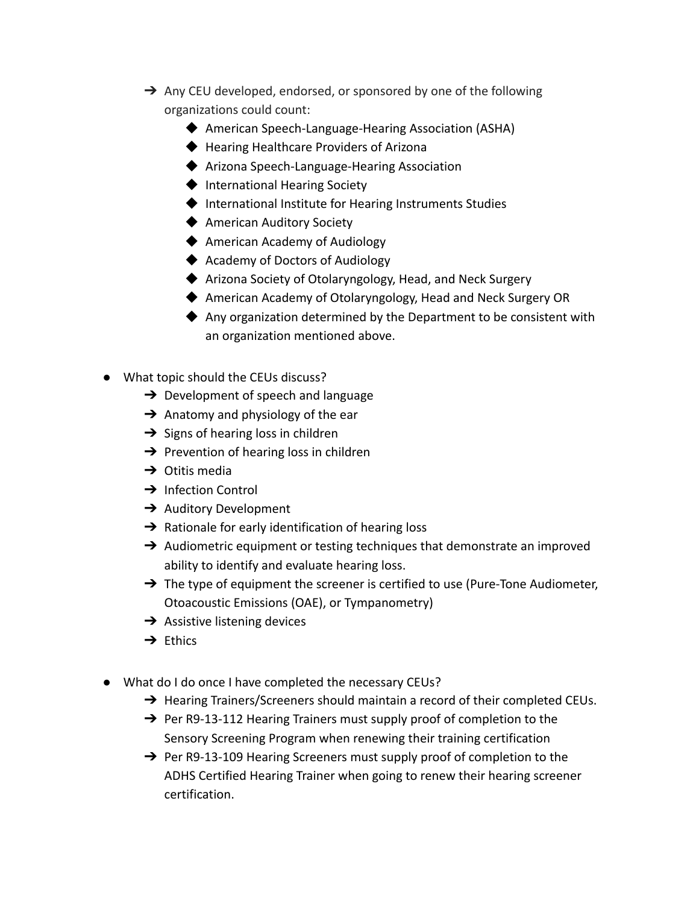- → Any CEU developed, endorsed, or sponsored by one of the following organizations could count:
	- ◆ American Speech-Language-Hearing Association (ASHA)
	- ◆ Hearing Healthcare Providers of Arizona
	- ◆ Arizona Speech-Language-Hearing Association
	- ◆ International Hearing Society
	- ◆ International Institute for Hearing Instruments Studies
	- ◆ American Auditory Society
	- ◆ American Academy of Audiology
	- ◆ Academy of Doctors of Audiology
	- ◆ Arizona Society of Otolaryngology, Head, and Neck Surgery
	- ◆ American Academy of Otolaryngology, Head and Neck Surgery OR
	- ◆ Any organization determined by the Department to be consistent with an organization mentioned above.
- What topic should the CEUs discuss?
	- $\rightarrow$  Development of speech and language
	- $\rightarrow$  Anatomy and physiology of the ear
	- $\rightarrow$  Signs of hearing loss in children
	- $\rightarrow$  Prevention of hearing loss in children
	- $\rightarrow$  Otitis media
	- **→** Infection Control
	- **→** Auditory Development
	- $\rightarrow$  Rationale for early identification of hearing loss
	- $\rightarrow$  Audiometric equipment or testing techniques that demonstrate an improved ability to identify and evaluate hearing loss.
	- $\rightarrow$  The type of equipment the screener is certified to use (Pure-Tone Audiometer, Otoacoustic Emissions (OAE), or Tympanometry)
	- $\rightarrow$  Assistive listening devices
	- **→** Fthics
- What do I do once I have completed the necessary CEUs?
	- → Hearing Trainers/Screeners should maintain a record of their completed CEUs.
	- → Per R9-13-112 Hearing Trainers must supply proof of completion to the Sensory Screening Program when renewing their training certification
	- → Per R9-13-109 Hearing Screeners must supply proof of completion to the ADHS Certified Hearing Trainer when going to renew their hearing screener certification.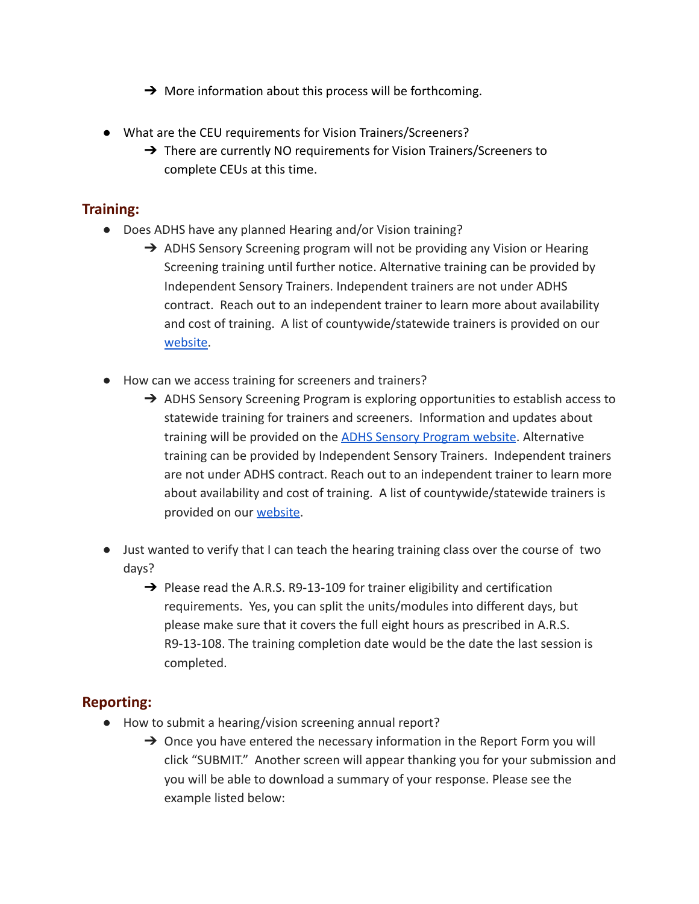- $\rightarrow$  More information about this process will be forthcoming.
- What are the CEU requirements for Vision Trainers/Screeners?
	- → There are currently NO requirements for Vision Trainers/Screeners to complete CEUs at this time.

# **Training:**

- Does ADHS have any planned Hearing and/or Vision training?
	- → ADHS Sensory Screening program will not be providing any Vision or Hearing Screening training until further notice. Alternative training can be provided by Independent Sensory Trainers. Independent trainers are not under ADHS contract. Reach out to an independent trainer to learn more about availability and cost of training. A list of countywide/statewide trainers is provided on our [website.](https://www.azdhs.gov/prevention/womens-childrens-health/ocshcn/index.php#sensory-training)
- How can we access training for screeners and trainers?
	- ➔ ADHS Sensory Screening Program is exploring opportunities to establish access to statewide training for trainers and screeners. Information and updates about training will be provided on the [ADHS Sensory Program](https://www.azdhs.gov/prevention/womens-childrens-health/ocshcn/index.php#sensory-training) website. Alternative training can be provided by Independent Sensory Trainers. Independent trainers are not under ADHS contract. Reach out to an independent trainer to learn more about availability and cost of training. A list of countywide/statewide trainers is provided on our [website.](https://www.azdhs.gov/prevention/womens-childrens-health/ocshcn/index.php#sensory-training)
- Just wanted to verify that I can teach the hearing training class over the course of two days?
	- $\rightarrow$  Please read the A.R.S. R9-13-109 for trainer eligibility and certification requirements. Yes, you can split the units/modules into different days, but please make sure that it covers the full eight hours as prescribed in A.R.S. R9-13-108. The training completion date would be the date the last session is completed.

#### **Reporting:**

- How to submit a hearing/vision screening annual report?
	- $\rightarrow$  Once you have entered the necessary information in the Report Form you will click "SUBMIT." Another screen will appear thanking you for your submission and you will be able to download a summary of your response. Please see the example listed below: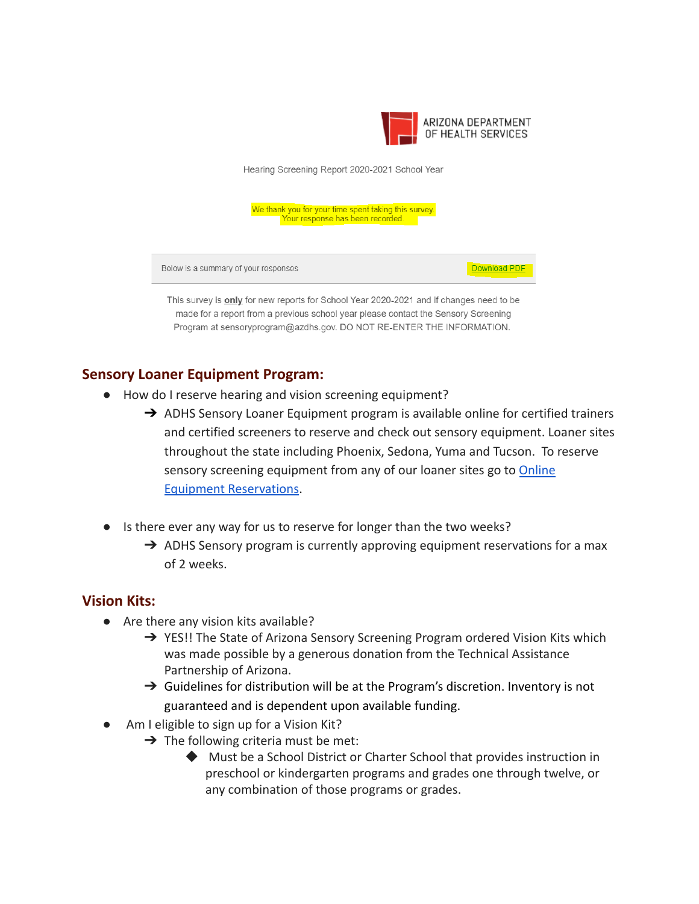

Download PDF

Hearing Screening Report 2020-2021 School Year

We thank you for your time spent taking this survey. Your response has been recorded.

Below is a summary of your responses

This survey is only for new reports for School Year 2020-2021 and if changes need to be made for a report from a previous school year please contact the Sensory Screening Program at sensoryprogram@azdhs.gov. DO NOT RE-ENTER THE INFORMATION.

## **Sensory Loaner Equipment Program:**

- How do I reserve hearing and vision screening equipment?
	- → ADHS Sensory Loaner Equipment program is available online for certified trainers and certified screeners to reserve and check out sensory equipment. Loaner sites throughout the state including Phoenix, Sedona, Yuma and Tucson. To reserve sensory screening equipment from any of our loaner sites go to [Online](https://www.azdhs.gov/prevention/womens-childrens-health/ocshcn/index.php#sensory-screening-equipment) [Equipment Reservations](https://www.azdhs.gov/prevention/womens-childrens-health/ocshcn/index.php#sensory-screening-equipment).
- Is there ever any way for us to reserve for longer than the two weeks?
	- $\rightarrow$  ADHS Sensory program is currently approving equipment reservations for a max of 2 weeks.

#### **Vision Kits:**

- Are there any vision kits available?
	- → YES!! The State of Arizona Sensory Screening Program ordered Vision Kits which was made possible by a generous donation from the Technical Assistance Partnership of Arizona.
	- $\rightarrow$  Guidelines for distribution will be at the Program's discretion. Inventory is not guaranteed and is dependent upon available funding.
- Am I eligible to sign up for a Vision Kit?
	- $\rightarrow$  The following criteria must be met:
		- ◆ Must be a School District or Charter School that provides instruction in preschool or kindergarten programs and grades one through twelve, or any combination of those programs or grades.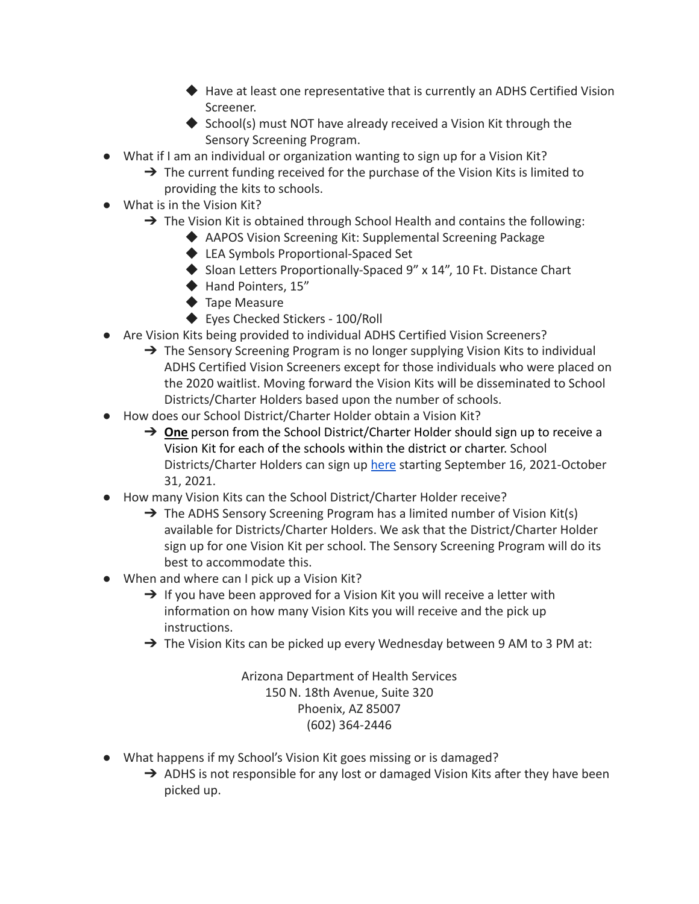- ◆ Have at least one representative that is currently an ADHS Certified Vision Screener.
- $\blacklozenge$  School(s) must NOT have already received a Vision Kit through the Sensory Screening Program.
- What if I am an individual or organization wanting to sign up for a Vision Kit?
	- $\rightarrow$  The current funding received for the purchase of the Vision Kits is limited to providing the kits to schools.
- What is in the Vision Kit?
	- $\rightarrow$  The Vision Kit is obtained through School Health and contains the following:
		- ◆ AAPOS Vision Screening Kit: Supplemental Screening Package
		- ◆ LEA Symbols Proportional-Spaced Set
		- ◆ Sloan Letters Proportionally-Spaced 9" x 14", 10 Ft. Distance Chart
		- ◆ Hand Pointers, 15"
		- ◆ Tape Measure
		- ◆ Eyes Checked Stickers 100/Roll
- Are Vision Kits being provided to individual ADHS Certified Vision Screeners?
	- → The Sensory Screening Program is no longer supplying Vision Kits to individual ADHS Certified Vision Screeners except for those individuals who were placed on the 2020 waitlist. Moving forward the Vision Kits will be disseminated to School Districts/Charter Holders based upon the number of schools.
- How does our School District/Charter Holder obtain a Vision Kit?
	- ➔ **One** person from the School District/Charter Holder should sign up to receive a Vision Kit for each of the schools within the district or charter. School Districts/Charter Holders can sign up [here](https://forms.gle/JbDL7SD5DWVJk67a6) starting September 16, 2021-October 31, 2021.
- How many Vision Kits can the School District/Charter Holder receive?
	- → The ADHS Sensory Screening Program has a limited number of Vision Kit(s) available for Districts/Charter Holders. We ask that the District/Charter Holder sign up for one Vision Kit per school. The Sensory Screening Program will do its best to accommodate this.
- When and where can I pick up a Vision Kit?
	- $\rightarrow$  If you have been approved for a Vision Kit you will receive a letter with information on how many Vision Kits you will receive and the pick up instructions.
	- $\rightarrow$  The Vision Kits can be picked up every Wednesday between 9 AM to 3 PM at:

Arizona Department of Health Services 150 N. 18th Avenue, Suite 320 Phoenix, AZ 85007 (602) 364-2446

- What happens if my School's Vision Kit goes missing or is damaged?
	- $\rightarrow$  ADHS is not responsible for any lost or damaged Vision Kits after they have been picked up.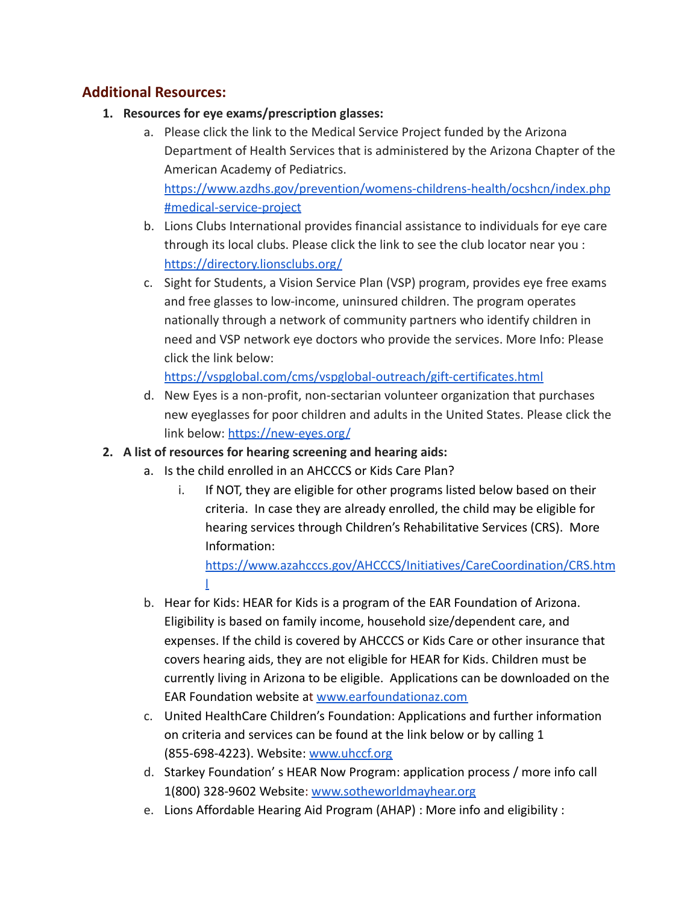## **Additional Resources:**

- **1. Resources for eye exams/prescription glasses:**
	- a. Please click the link to the Medical Service Project funded by the Arizona Department of Health Services that is administered by the Arizona Chapter of the American Academy of Pediatrics. [https://www.azdhs.gov/prevention/womens-childrens-health/ocshcn/index.php](https://www.azdhs.gov/prevention/womens-childrens-health/ocshcn/index.php#medical-service-project) [#medical-service-project](https://www.azdhs.gov/prevention/womens-childrens-health/ocshcn/index.php#medical-service-project)
	- b. Lions Clubs International provides financial assistance to individuals for eye care through its local clubs. Please click the link to see the club locator near you : <https://directory.lionsclubs.org/>
	- c. Sight for Students, a Vision Service Plan (VSP) program, provides eye free exams and free glasses to low-income, uninsured children. The program operates nationally through a network of community partners who identify children in need and VSP network eye doctors who provide the services. More Info: Please click the link below:

<https://vspglobal.com/cms/vspglobal-outreach/gift-certificates.html>

- d. New Eyes is a non-profit, non-sectarian volunteer organization that purchases new eyeglasses for poor children and adults in the United States. Please click the link below: <https://new-eyes.org/>
- **2. A list of resources for hearing screening and hearing aids:**
	- a. Is the child enrolled in an AHCCCS or Kids Care Plan?
		- i. If NOT, they are eligible for other programs listed below based on their criteria. In case they are already enrolled, the child may be eligible for hearing services through Children's Rehabilitative Services (CRS). More Information:

[https://www.azahcccs.gov/AHCCCS/Initiatives/CareCoordination/CRS.htm](https://www.azahcccs.gov/AHCCCS/Initiatives/CareCoordination/CRS.html) [l](https://www.azahcccs.gov/AHCCCS/Initiatives/CareCoordination/CRS.html)

- b. Hear for Kids: HEAR for Kids is a program of the EAR Foundation of Arizona. Eligibility is based on family income, household size/dependent care, and expenses. If the child is covered by AHCCCS or Kids Care or other insurance that covers hearing aids, they are not eligible for HEAR for Kids. Children must be currently living in Arizona to be eligible. Applications can be downloaded on the EAR Foundation website at [www.earfoundationaz.com](http://www.earfoundationaz.com)
- c. United HealthCare Children's Foundation: Applications and further information on criteria and services can be found at the link below or by calling 1 (855-698-4223). Website[:](http://www.uhccf.org/) [www.uhccf.org](http://www.uhccf.org)
- d. Starkey Foundation' s HEAR Now Program: application process / more info call 1(800) 328-9602 Website[:](http://www.sotheworldmayhear.org/) [www.sotheworldmayhear.org](http://www.sotheworldmayhear.org)
- e. Lions Affordable Hearing Aid Program (AHAP) : More info and eligibility :